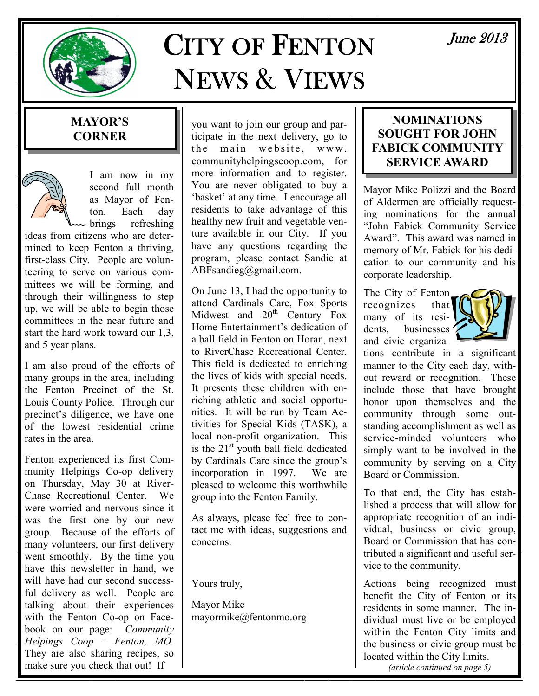

# CITY OF FENTON NEWS & VIEWS

# MAYOR'S **CORNER**



I am now in my second full month as Mayor of Fenton. Each day<br>brings refreshing refreshing

ideas from citizens who are determined to keep Fenton a thriving, first-class City. People are volunteering to serve on various committees we will be forming, and through their willingness to step up, we will be able to begin those committees in the near future and start the hard work toward our 1,3, and 5 year plans.

I am also proud of the efforts of many groups in the area, including the Fenton Precinct of the St. Louis County Police. Through our precinct's diligence, we have one of the lowest residential crime rates in the area.

Fenton experienced its first Community Helpings Co-op delivery on Thursday, May 30 at River-Chase Recreational Center. We were worried and nervous since it was the first one by our new group. Because of the efforts of many volunteers, our first delivery went smoothly. By the time you have this newsletter in hand, we will have had our second successful delivery as well. People are talking about their experiences with the Fenton Co-op on Facebook on our page: Community Helpings Coop – Fenton, MO. They are also sharing recipes, so make sure you check that out! If

you want to join our group and participate in the next delivery, go to the main website, www. communityhelpingscoop.com, for more information and to register. You are never obligated to buy a 'basket' at any time. I encourage all residents to take advantage of this healthy new fruit and vegetable venture available in our City. If you have any questions regarding the program, please contact Sandie at ABFsandieg@gmail.com.

On June 13, I had the opportunity to attend Cardinals Care, Fox Sports Midwest and  $20<sup>th</sup>$  Century Fox Home Entertainment's dedication of a ball field in Fenton on Horan, next to RiverChase Recreational Center. This field is dedicated to enriching the lives of kids with special needs. It presents these children with enriching athletic and social opportunities. It will be run by Team Activities for Special Kids (TASK), a local non-profit organization. This is the  $21<sup>st</sup>$  youth ball field dedicated by Cardinals Care since the group's incorporation in 1997. We are pleased to welcome this worthwhile group into the Fenton Family.

As always, please feel free to contact me with ideas, suggestions and concerns.

Yours truly,

Mayor Mike mayormike@fentonmo.org

# NOMINATIONS SOUGHT FOR JOHN FABICK COMMUNITY SERVICE AWARD

Mayor Mike Polizzi and the Board of Aldermen are officially requesting nominations for the annual "John Fabick Community Service Award". This award was named in memory of Mr. Fabick for his dedication to our community and his corporate leadership.

The City of Fenton recognizes that many of its residents, businesses ' and civic organiza-



tions contribute in a significant manner to the City each day, without reward or recognition. These include those that have brought honor upon themselves and the community through some outstanding accomplishment as well as service-minded volunteers who simply want to be involved in the community by serving on a City Board or Commission.

To that end, the City has established a process that will allow for appropriate recognition of an individual, business or civic group, Board or Commission that has contributed a significant and useful service to the community.

Actions being recognized must benefit the City of Fenton or its residents in some manner. The individual must live or be employed within the Fenton City limits and the business or civic group must be located within the City limits.

(article continued on page 5)

June 2013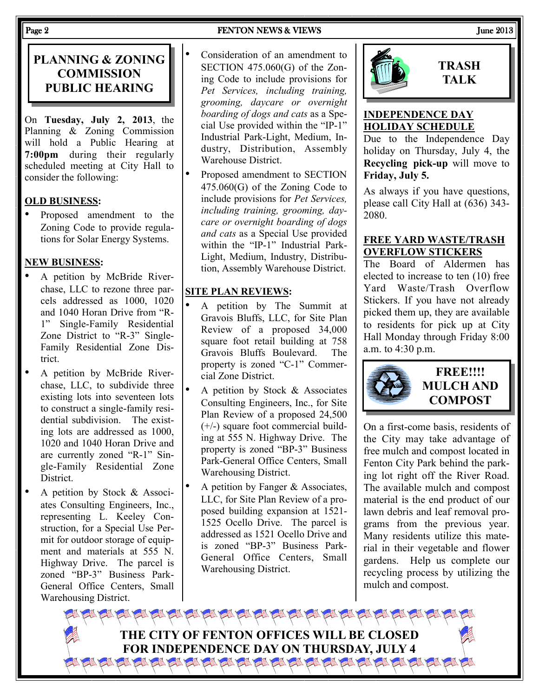#### Page 2 **FENTON NEWS & VIEWS** FENTON NEWS 2013

# PLANNING & ZONING **COMMISSION** PUBLIC HEARING

On Tuesday, July 2, 2013, the Planning & Zoning Commission will hold a Public Hearing at 7:00pm during their regularly scheduled meeting at City Hall to consider the following:

#### OLD BUSINESS:

• Proposed amendment to the Zoning Code to provide regulations for Solar Energy Systems.

#### NEW BUSINESS:

- A petition by McBride Riverchase, LLC to rezone three parcels addressed as 1000, 1020 and 1040 Horan Drive from "R-1" Single-Family Residential Zone District to "R-3" Single-Family Residential Zone District.
- A petition by McBride Riverchase, LLC, to subdivide three existing lots into seventeen lots to construct a single-family residential subdivision. The existing lots are addressed as 1000, 1020 and 1040 Horan Drive and are currently zoned "R-1" Single-Family Residential Zone District.
- A petition by Stock & Associates Consulting Engineers, Inc., representing L. Keeley Construction, for a Special Use Permit for outdoor storage of equipment and materials at 555 N. Highway Drive. The parcel is zoned "BP-3" Business Park-General Office Centers, Small Warehousing District.

• Consideration of an amendment to SECTION 475.060(G) of the Zoning Code to include provisions for Pet Services, including training, grooming, daycare or overnight boarding of dogs and cats as a Special Use provided within the "IP-1" Industrial Park-Light, Medium, Industry, Distribution, Assembly Warehouse District.

• Proposed amendment to SECTION 475.060(G) of the Zoning Code to include provisions for Pet Services, including training, grooming, daycare or overnight boarding of dogs and cats as a Special Use provided within the "IP-1" Industrial Park-Light, Medium, Industry, Distribution, Assembly Warehouse District.

#### SITE PLAN REVIEWS:

- A petition by The Summit at Gravois Bluffs, LLC, for Site Plan Review of a proposed 34,000 square foot retail building at 758 Gravois Bluffs Boulevard. The property is zoned "C-1" Commercial Zone District.
- A petition by Stock  $&$  Associates Consulting Engineers, Inc., for Site Plan Review of a proposed 24,500 (+/-) square foot commercial building at 555 N. Highway Drive. The property is zoned "BP-3" Business Park-General Office Centers, Small Warehousing District.
- A petition by Fanger  $&$  Associates, LLC, for Site Plan Review of a proposed building expansion at 1521- 1525 Ocello Drive. The parcel is addressed as 1521 Ocello Drive and is zoned "BP-3" Business Park-General Office Centers, Small Warehousing District.



# **TRASH** TALK

#### INDEPENDENCE DAY HOLIDAY SCHEDULE

Due to the Independence Day holiday on Thursday, July 4, the Recycling pick-up will move to Friday, July 5.

As always if you have questions, please call City Hall at (636) 343- 2080.

#### FREE YARD WASTE/TRASH OVERFLOW STICKERS

The Board of Aldermen has elected to increase to ten (10) free Yard Waste/Trash Overflow Stickers. If you have not already picked them up, they are available to residents for pick up at City Hall Monday through Friday 8:00 a.m. to 4:30 p.m.



FREE!!!! MULCH AND **COMPOST** 

On a first-come basis, residents of the City may take advantage of free mulch and compost located in Fenton City Park behind the parking lot right off the River Road. The available mulch and compost material is the end product of our lawn debris and leaf removal programs from the previous year. Many residents utilize this material in their vegetable and flower gardens. Help us complete our recycling process by utilizing the mulch and compost.

THE CITY OF FENTON OFFICES WILL BE CLOSED FOR INDEPENDENCE DAY ON THURSDAY, JULY 4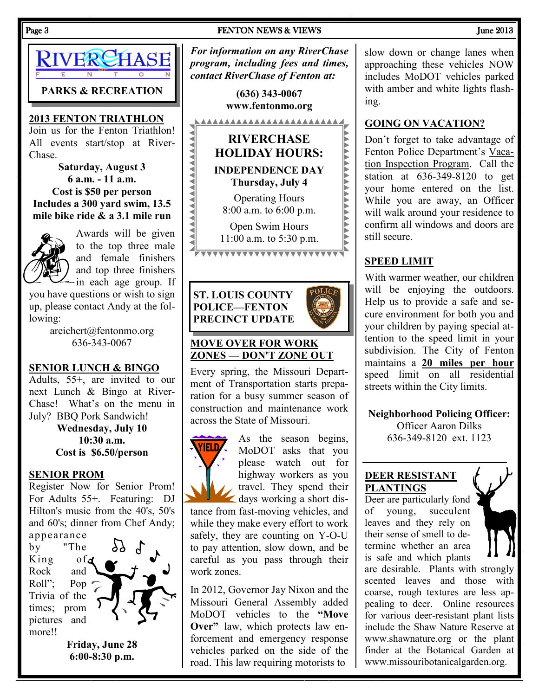### Page 3 FENTON NEWS & VIEWS FENTON NEWS FENTON NEWS **FENTON** NEWS **FENTON** NEWS **FENTON**



2013 FENTON TRIATHLON

Join us for the Fenton Triathlon! All events start/stop at River-Chase.

Saturday, August 3 6 a.m. - 11 a.m. Cost is \$50 per person Includes a 300 yard swim, 13.5 mile bike ride & a 3.1 mile run



Awards will be given to the top three male and female finishers and top three finishers -in each age group. If

you have questions or wish to sign up, please contact Andy at the following:

> areichert@fentonmo.org 636-343-0067

#### SENIOR LUNCH & BINGO

Adults, 55+, are invited to our next Lunch & Bingo at River-Chase! What's on the menu in July? BBQ Pork Sandwich!

> Wednesday, July 10 10:30 a.m. Cost is \$6.50/person

#### SENIOR PROM

Register Now for Senior Prom! For Adults 55+. Featuring: DJ Hilton's music from the 40's, 50's and 60's; dinner from Chef Andy; appearance

by "The King ofd Rock and Roll"; Pop Trivia of the times; prom pictures and more!!



Friday, June 28 6:00-8:30 p.m.

For information on any RiverChase program, including fees and times, contact RiverChase of Fenton at:

> (636) 343-0067 www.fentonmo.org



#### MOVE OVER FOR WORK ZONES — DON'T ZONE OUT

Every spring, the Missouri Department of Transportation starts preparation for a busy summer season of construction and maintenance work across the State of Missouri.



As the season begins, MoDOT asks that you please watch out for highway workers as you travel. They spend their days working a short dis-

tance from fast-moving vehicles, and while they make every effort to work safely, they are counting on Y-O-U to pay attention, slow down, and be careful as you pass through their work zones.

In 2012, Governor Jay Nixon and the Missouri General Assembly added MoDOT vehicles to the "Move Over" law, which protects law enforcement and emergency response vehicles parked on the side of the road. This law requiring motorists to

slow down or change lanes when approaching these vehicles NOW includes MoDOT vehicles parked with amber and white lights flashing.

#### GOING ON VACATION?

Don't forget to take advantage of Fenton Police Department's Vacation Inspection Program. Call the station at 636-349-8120 to get your home entered on the list. While you are away, an Officer will walk around your residence to confirm all windows and doors are still secure.

#### SPEED LIMIT

With warmer weather, our children will be enjoying the outdoors. Help us to provide a safe and secure environment for both you and your children by paying special attention to the speed limit in your subdivision. The City of Fenton maintains a 20 miles per hour speed limit on all residential streets within the City limits.

Neighborhood Policing Officer:

Officer Aaron Dilks 636-349-8120 ext. 1123

#### DEER RESISTANT PLANTINGS

Deer are particularly fond of young, succulent leaves and they rely on their sense of smell to determine whether an area is safe and which plants



are desirable. Plants with strongly scented leaves and those with coarse, rough textures are less appealing to deer. Online resources for various deer-resistant plant lists include the Shaw Nature Reserve at www.shawnature.org or the plant finder at the Botanical Garden at www.missouribotanicalgarden.org.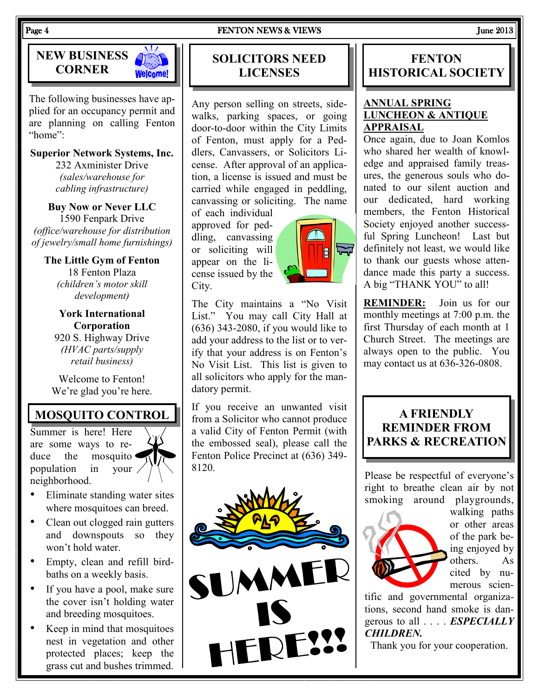

The following businesses have applied for an occupancy permit and are planning on calling Fenton "home":

Superior Network Systems, Inc.

232 Axminister Drive (sales/warehouse for cabling infrastructure)

Buy Now or Never LLC 1590 Fenpark Drive (office/warehouse for distribution of jewelry/small home furnishings)

The Little Gym of Fenton 18 Fenton Plaza (children's motor skill development)

York International Corporation 920 S. Highway Drive (HVAC parts/supply retail business)

Welcome to Fenton! We're glad you're here.

# MOSQUITO CONTROL

Summer is here! Here are some ways to reduce the mosquito population in your neighborhood.

- Eliminate standing water sites where mosquitoes can breed.
- Clean out clogged rain gutters and downspouts so they won't hold water.
- Empty, clean and refill birdbaths on a weekly basis.
- If you have a pool, make sure the cover isn't holding water and breeding mosquitoes.
- Keep in mind that mosquitoes nest in vegetation and other protected places; keep the grass cut and bushes trimmed.

# SOLICITORS NEED LICENSES

Any person selling on streets, sidewalks, parking spaces, or going door-to-door within the City Limits of Fenton, must apply for a Peddlers, Canvassers, or Solicitors License. After approval of an application, a license is issued and must be carried while engaged in peddling, canvassing or soliciting. The name

of each individual approved for peddling, canvassing or soliciting will appear on the license issued by the City.



The City maintains a "No Visit List." You may call City Hall at (636) 343-2080, if you would like to add your address to the list or to verify that your address is on Fenton's No Visit List. This list is given to all solicitors who apply for the mandatory permit.

If you receive an unwanted visit from a Solicitor who cannot produce a valid City of Fenton Permit (with the embossed seal), please call the Fenton Police Precinct at (636) 349- 8120.



# **FENTON** HISTORICAL SOCIETY

#### ANNUAL SPRING LUNCHEON & ANTIQUE APPRAISAL

Once again, due to Joan Komlos who shared her wealth of knowledge and appraised family treasures, the generous souls who donated to our silent auction and our dedicated, hard working members, the Fenton Historical Society enjoyed another successful Spring Luncheon! Last but definitely not least, we would like to thank our guests whose attendance made this party a success. A big "THANK YOU" to all!

REMINDER: Join us for our monthly meetings at 7:00 p.m. the first Thursday of each month at 1 Church Street. The meetings are always open to the public. You may contact us at 636-326-0808.

# A FRIENDLY REMINDER FROM PARKS & RECREATION

Please be respectful of everyone's right to breathe clean air by not smoking around playgrounds,



walking paths or other areas of the park being enjoyed by others. As cited by numerous scien-

tific and governmental organizations, second hand smoke is dangerous to all . . . . ESPECIALLY CHILDREN.

Thank you for your cooperation.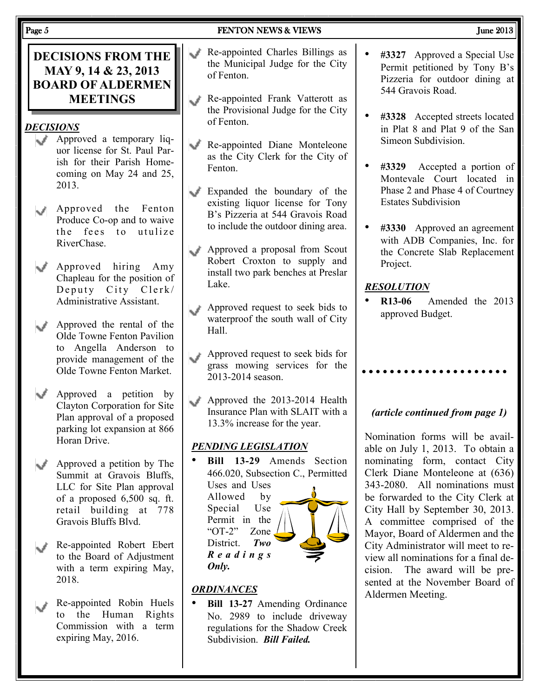| Page 5         |                                                                                                                                                                                                                                                                                 | <b>FENTON NEWS &amp; VIEWS</b>                                                                                                                                                                                                                                                                                                                                 | June 2013                                                                                                                                                                                                                                                                                                                                                                                                                |
|----------------|---------------------------------------------------------------------------------------------------------------------------------------------------------------------------------------------------------------------------------------------------------------------------------|----------------------------------------------------------------------------------------------------------------------------------------------------------------------------------------------------------------------------------------------------------------------------------------------------------------------------------------------------------------|--------------------------------------------------------------------------------------------------------------------------------------------------------------------------------------------------------------------------------------------------------------------------------------------------------------------------------------------------------------------------------------------------------------------------|
|                | <b>DECISIONS FROM THE</b><br>MAY 9, 14 & 23, 2013<br><b>BOARD OF ALDERMEN</b><br><b>MEETINGS</b><br><b>DECISIONS</b><br>Approved a temporary liq-<br>uor license for St. Paul Par-<br>ish for their Parish Home-<br>coming on May 24 and 25,<br>2013.<br>Approved the<br>Fenton | Re-appointed Charles Billings as<br>nd.<br>the Municipal Judge for the City<br>of Fenton.<br>Re-appointed Frank Vatterott as<br>the Provisional Judge for the City<br>of Fenton.<br>Re-appointed Diane Monteleone<br>as the City Clerk for the City of<br>Fenton.<br>Expanded the boundary of the<br>existing liquor license for Tony                          | #3327 Approved a Special Use<br>Permit petitioned by Tony B's<br>Pizzeria for outdoor dining at<br>544 Gravois Road.<br>#3328 Accepted streets located<br>in Plat 8 and Plat 9 of the San<br>Simeon Subdivision.<br>#3329<br>Accepted a portion of<br>Montevale Court located in<br>Phase 2 and Phase 4 of Courtney<br><b>Estates Subdivision</b>                                                                        |
| $\omega^{\mu}$ | Produce Co-op and to waive<br>the fees to utulize<br>RiverChase.                                                                                                                                                                                                                | B's Pizzeria at 544 Gravois Road<br>to include the outdoor dining area.<br>Approved a proposal from Scout<br>Robert Croxton to supply and<br>install two park benches at Preslar<br>Lake.<br>Approved request to seek bids to                                                                                                                                  | #3330 Approved an agreement<br>with ADB Companies, Inc. for<br>the Concrete Slab Replacement<br>Project.<br><b>RESOLUTION</b><br>R <sub>13</sub> -06<br>Amended the 2013                                                                                                                                                                                                                                                 |
|                | Approved hiring Amy<br>Chapleau for the position of<br>Deputy City Clerk/<br>Administrative Assistant.                                                                                                                                                                          |                                                                                                                                                                                                                                                                                                                                                                |                                                                                                                                                                                                                                                                                                                                                                                                                          |
|                | Approved the rental of the<br>Olde Towne Fenton Pavilion<br>to Angella Anderson to<br>provide management of the<br>Olde Towne Fenton Market.                                                                                                                                    | waterproof the south wall of City<br>Hall.<br>Approved request to seek bids for<br>grass mowing services for the<br>2013-2014 season.                                                                                                                                                                                                                          | approved Budget.                                                                                                                                                                                                                                                                                                                                                                                                         |
|                | Approved a petition by<br>Clayton Corporation for Site<br>Plan approval of a proposed<br>parking lot expansion at 866<br>Horan Drive.                                                                                                                                           | Approved the 2013-2014 Health<br>Insurance Plan with SLAIT with a<br>13.3% increase for the year.<br><b>PENDING LEGISLATION</b>                                                                                                                                                                                                                                | (article continued from page 1)<br>Nomination forms will be avail-<br>able on July 1, 2013. To obtain a                                                                                                                                                                                                                                                                                                                  |
|                | Approved a petition by The<br>Summit at Gravois Bluffs,<br>LLC for Site Plan approval<br>of a proposed $6,500$ sq. ft.<br>retail building at 778<br>Gravois Bluffs Blvd.                                                                                                        | Bill 13-29 Amends Section<br>466.020, Subsection C., Permitted<br>Uses and Uses<br>Allowed<br>by<br>Use<br>Special<br>Permit in the<br>"OT-2"<br>Zone<br>District.<br>Two<br>$R$ e a d i n g s<br>Only.<br><b>ORDINANCES</b><br>Bill 13-27 Amending Ordinance<br>No. 2989 to include driveway<br>regulations for the Shadow Creek<br>Subdivision. Bill Failed. | nominating form, contact City<br>Clerk Diane Monteleone at (636)<br>343-2080. All nominations must<br>be forwarded to the City Clerk at<br>City Hall by September 30, 2013.<br>A committee comprised of the<br>Mayor, Board of Aldermen and the<br>City Administrator will meet to re-<br>view all nominations for a final de-<br>cision. The award will be pre-<br>sented at the November Board of<br>Aldermen Meeting. |
|                | Re-appointed Robert Ebert<br>to the Board of Adjustment<br>with a term expiring May,<br>2018.                                                                                                                                                                                   |                                                                                                                                                                                                                                                                                                                                                                |                                                                                                                                                                                                                                                                                                                                                                                                                          |
|                | Re-appointed Robin Huels<br>the Human<br>Rights<br>to<br>Commission with a term<br>expiring May, 2016.                                                                                                                                                                          |                                                                                                                                                                                                                                                                                                                                                                |                                                                                                                                                                                                                                                                                                                                                                                                                          |